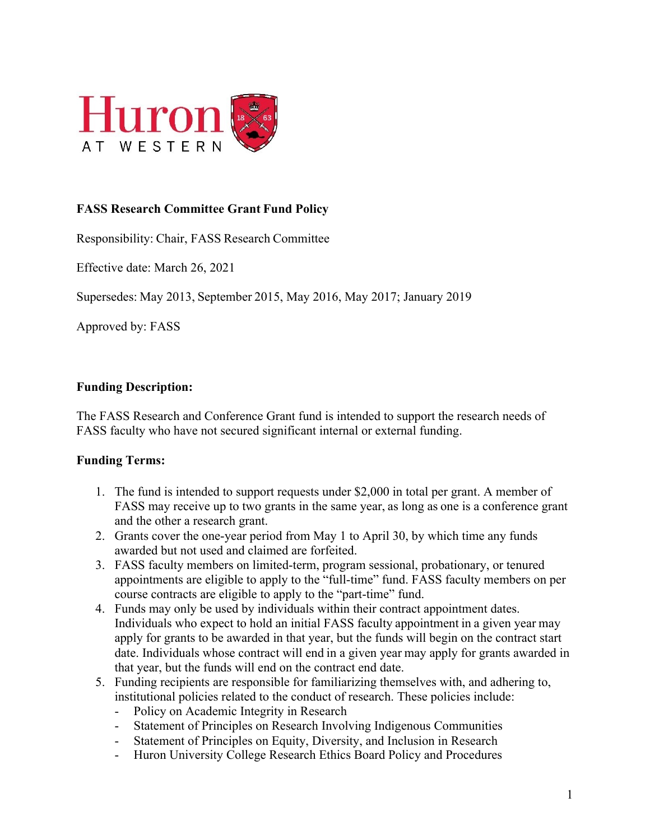

# **FASS Research Committee Grant Fund Policy**

Responsibility: Chair, FASS Research Committee

Effective date: March 26, 2021

Supersedes: May 2013, September 2015, May 2016, May 2017; January 2019

Approved by: FASS

#### **Funding Description:**

The FASS Research and Conference Grant fund is intended to support the research needs of FASS faculty who have not secured significant internal or external funding.

### **Funding Terms:**

- 1. The fund is intended to support requests under \$2,000 in total per grant. A member of FASS may receive up to two grants in the same year, as long as one is a conference grant and the other a research grant.
- 2. Grants cover the one-year period from May 1 to April 30, by which time any funds awarded but not used and claimed are forfeited.
- 3. FASS faculty members on limited-term, program sessional, probationary, or tenured appointments are eligible to apply to the "full-time" fund. FASS faculty members on per course contracts are eligible to apply to the "part-time" fund.
- 4. Funds may only be used by individuals within their contract appointment dates. Individuals who expect to hold an initial FASS faculty appointment in a given year may apply for grants to be awarded in that year, but the funds will begin on the contract start date. Individuals whose contract will end in a given year may apply for grants awarded in that year, but the funds will end on the contract end date.
- 5. Funding recipients are responsible for familiarizing themselves with, and adhering to, institutional policies related to the conduct of research. These policies include:
	- Policy on Academic Integrity in Research
	- Statement of Principles on Research Involving Indigenous Communities
	- Statement of Principles on Equity, Diversity, and Inclusion in Research
	- Huron University College Research Ethics Board Policy and Procedures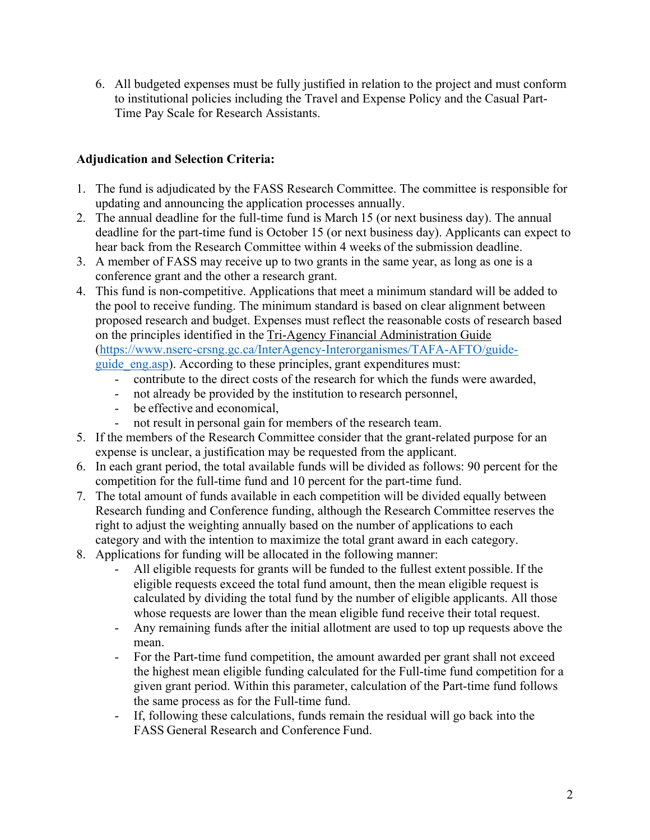6. All budgeted expenses must be fully justified in relation to the project and must conform to institutional policies including the Travel and Expense Policy and the Casual Part-Time Pay Scale for Research Assistants.

# **Adjudication and Selection Criteria:**

- 1. The fund is adjudicated by the FASS Research Committee. The committee is responsible for updating and announcing the application processes annually.
- 2. The annual deadline for the full-time fund is March 15 (or next business day). The annual deadline for the part-time fund is October 15 (or next business day). Applicants can expect to hear back from the Research Committee within 4 weeks of the submission deadline.
- 3. A member of FASS may receive up to two grants in the same year, as long as one is a conference grant and the other a research grant.
- 4. This fund is non-competitive. Applications that meet a minimum standard will be added to the pool to receive funding. The minimum standard is based on clear alignment between proposed research and budget. Expenses must reflect the reasonable costs of research based on the principles identified in the Tri-Agency Financial Administration Guide (https://www.nserc-crsng.gc.ca/InterAgency-Interorganismes/TAFA-AFTO/guideguide eng.asp). According to these principles, grant expenditures must:
	- contribute to the direct costs of the research for which the funds were awarded,
	- not already be provided by the institution to research personnel,
	- be effective and economical,
	- not result in personal gain for members of the research team.
- 5. If the members of the Research Committee consider that the grant-related purpose for an expense is unclear, a justification may be requested from the applicant.
- 6. In each grant period, the total available funds will be divided as follows: 90 percent for the competition for the full-time fund and 10 percent for the part-time fund.
- 7. The total amount of funds available in each competition will be divided equally between Research funding and Conference funding, although the Research Committee reserves the right to adjust the weighting annually based on the number of applications to each category and with the intention to maximize the total grant award in each category.
- 8. Applications for funding will be allocated in the following manner:
	- All eligible requests for grants will be funded to the fullest extent possible. If the eligible requests exceed the total fund amount, then the mean eligible request is calculated by dividing the total fund by the number of eligible applicants. All those whose requests are lower than the mean eligible fund receive their total request.
	- Any remaining funds after the initial allotment are used to top up requests above the mean.
	- For the Part-time fund competition, the amount awarded per grant shall not exceed the highest mean eligible funding calculated for the Full-time fund competition for a given grant period. Within this parameter, calculation of the Part-time fund follows the same process as for the Full-time fund.
	- If, following these calculations, funds remain the residual will go back into the FASS General Research and Conference Fund.